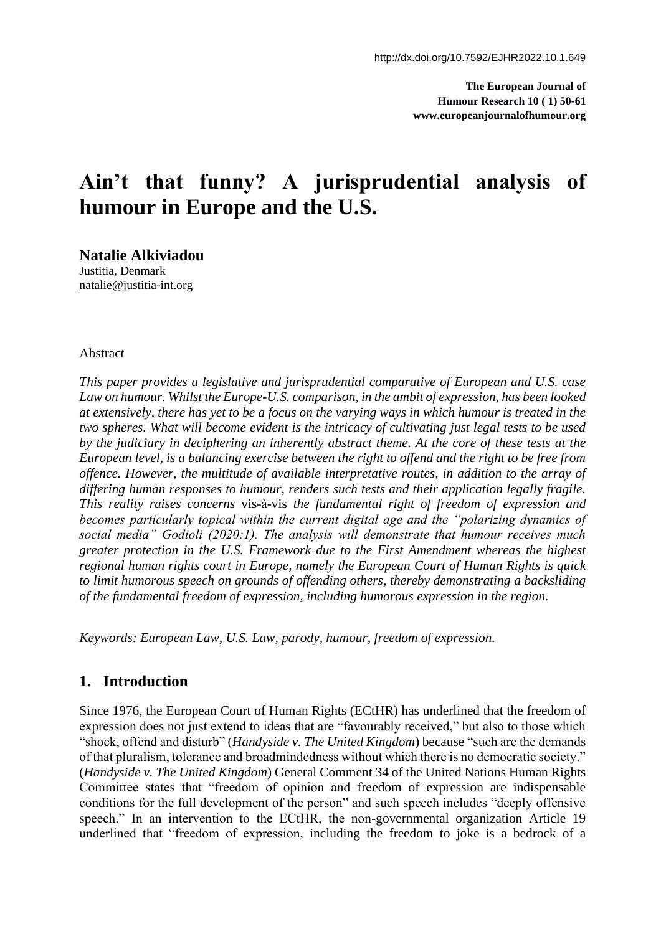**The European Journal of Humour Research 10 ( 1) 50-61 www.europeanjournalofhumour.org**

# **Ain't that funny? A jurisprudential analysis of humour in Europe and the U.S.**

**Natalie Alkiviadou** Justitia, Denmark [natalie@justitia-int.org](mailto:natalie@justitia-int.org)

#### Abstract

*This paper provides a legislative and jurisprudential comparative of European and U.S. case*  Law on humour. Whilst the Europe-U.S. comparison, in the ambit of expression, has been looked *at extensively, there has yet to be a focus on the varying ways in which humour is treated in the two spheres. What will become evident is the intricacy of cultivating just legal tests to be used by the judiciary in deciphering an inherently abstract theme. At the core of these tests at the European level, is a balancing exercise between the right to offend and the right to be free from offence. However, the multitude of available interpretative routes, in addition to the array of differing human responses to humour, renders such tests and their application legally fragile. This reality raises concerns* vis-à-vis *the fundamental right of freedom of expression and becomes particularly topical within the current digital age and the "polarizing dynamics of social media" Godioli (2020:1). The analysis will demonstrate that humour receives much greater protection in the U.S. Framework due to the First Amendment whereas the highest regional human rights court in Europe, namely the European Court of Human Rights is quick to limit humorous speech on grounds of offending others, thereby demonstrating a backsliding of the fundamental freedom of expression, including humorous expression in the region.*

*Keywords: European Law, U.S. Law, parody, humour, freedom of expression.*

# **1. Introduction**

Since 1976, the European Court of Human Rights (ECtHR) has underlined that the freedom of expression does not just extend to ideas that are "favourably received," but also to those which "shock, offend and disturb" (*Handyside v. The United Kingdom*) because "such are the demands of that pluralism, tolerance and broadmindedness without which there is no democratic society." (*Handyside v. The United Kingdom*) General Comment 34 of the United Nations Human Rights Committee states that "freedom of opinion and freedom of expression are indispensable conditions for the full development of the person" and such speech includes "deeply offensive speech." In an intervention to the ECtHR, the non-governmental organization Article 19 underlined that "freedom of expression, including the freedom to joke is a bedrock of a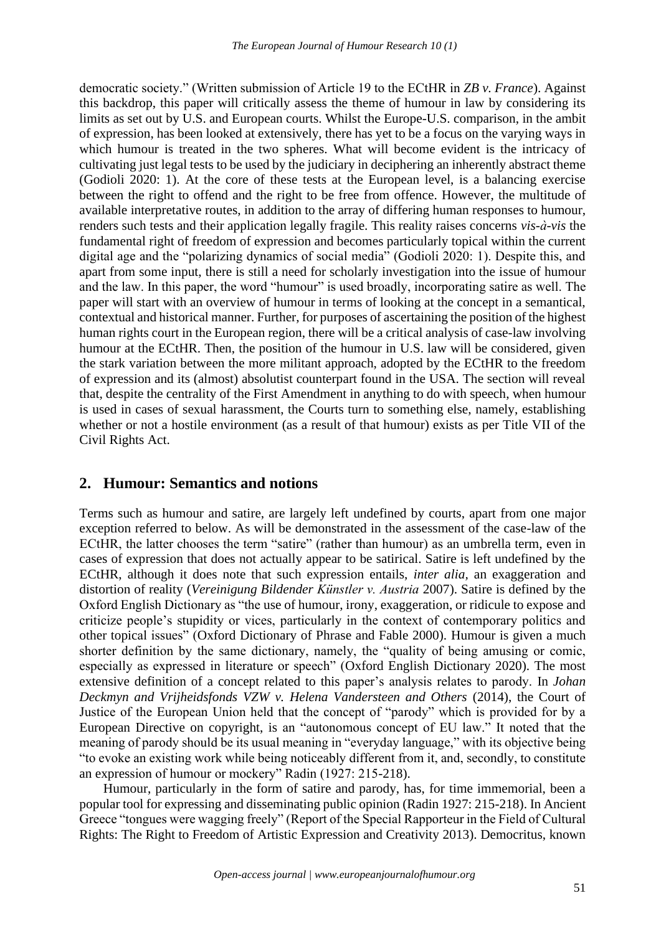democratic society." (Written submission of Article 19 to the ECtHR in *ZB v. France*). Against this backdrop, this paper will critically assess the theme of humour in law by considering its limits as set out by U.S. and European courts. Whilst the Europe-U.S. comparison, in the ambit of expression, has been looked at extensively, there has yet to be a focus on the varying ways in which humour is treated in the two spheres. What will become evident is the intricacy of cultivating just legal tests to be used by the judiciary in deciphering an inherently abstract theme (Godioli 2020: 1). At the core of these tests at the European level, is a balancing exercise between the right to offend and the right to be free from offence. However, the multitude of available interpretative routes, in addition to the array of differing human responses to humour, renders such tests and their application legally fragile. This reality raises concerns *vis-à-vis* the fundamental right of freedom of expression and becomes particularly topical within the current digital age and the "polarizing dynamics of social media" (Godioli 2020: 1). Despite this, and apart from some input, there is still a need for scholarly investigation into the issue of humour and the law. In this paper, the word "humour" is used broadly, incorporating satire as well. The paper will start with an overview of humour in terms of looking at the concept in a semantical, contextual and historical manner. Further, for purposes of ascertaining the position of the highest human rights court in the European region, there will be a critical analysis of case-law involving humour at the ECtHR. Then, the position of the humour in U.S. law will be considered, given the stark variation between the more militant approach, adopted by the ECtHR to the freedom of expression and its (almost) absolutist counterpart found in the USA. The section will reveal that, despite the centrality of the First Amendment in anything to do with speech, when humour is used in cases of sexual harassment, the Courts turn to something else, namely, establishing whether or not a hostile environment (as a result of that humour) exists as per Title VII of the Civil Rights Act.

# **2. Humour: Semantics and notions**

Terms such as humour and satire, are largely left undefined by courts, apart from one major exception referred to below. As will be demonstrated in the assessment of the case-law of the ECtHR, the latter chooses the term "satire" (rather than humour) as an umbrella term, even in cases of expression that does not actually appear to be satirical. Satire is left undefined by the ECtHR, although it does note that such expression entails, *inter alia,* an exaggeration and distortion of reality (*Vereinigung Bildender Künstler v. Austria* 2007). Satire is defined by the Oxford English Dictionary as "the use of humour, irony, exaggeration, or ridicule to expose and criticize people's stupidity or vices, particularly in the context of contemporary politics and other topical issues" (Oxford Dictionary of Phrase and Fable 2000). Humour is given a much shorter definition by the same dictionary, namely, the "quality of being amusing or comic, especially as expressed in literature or speech" (Oxford English Dictionary 2020). The most extensive definition of a concept related to this paper's analysis relates to parody. In *Johan Deckmyn and Vrijheidsfonds VZW v. Helena Vandersteen and Others* (2014), the Court of Justice of the European Union held that the concept of "parody" which is provided for by a European Directive on copyright, is an "autonomous concept of EU law." It noted that the meaning of parody should be its usual meaning in "everyday language," with its objective being "to evoke an existing work while being noticeably different from it, and, secondly, to constitute an expression of humour or mockery" Radin (1927: 215-218).

Humour, particularly in the form of satire and parody, has, for time immemorial, been a popular tool for expressing and disseminating public opinion (Radin 1927: 215-218). In Ancient Greece "tongues were wagging freely" (Report of the Special Rapporteur in the Field of Cultural Rights: The Right to Freedom of Artistic Expression and Creativity 2013). Democritus, known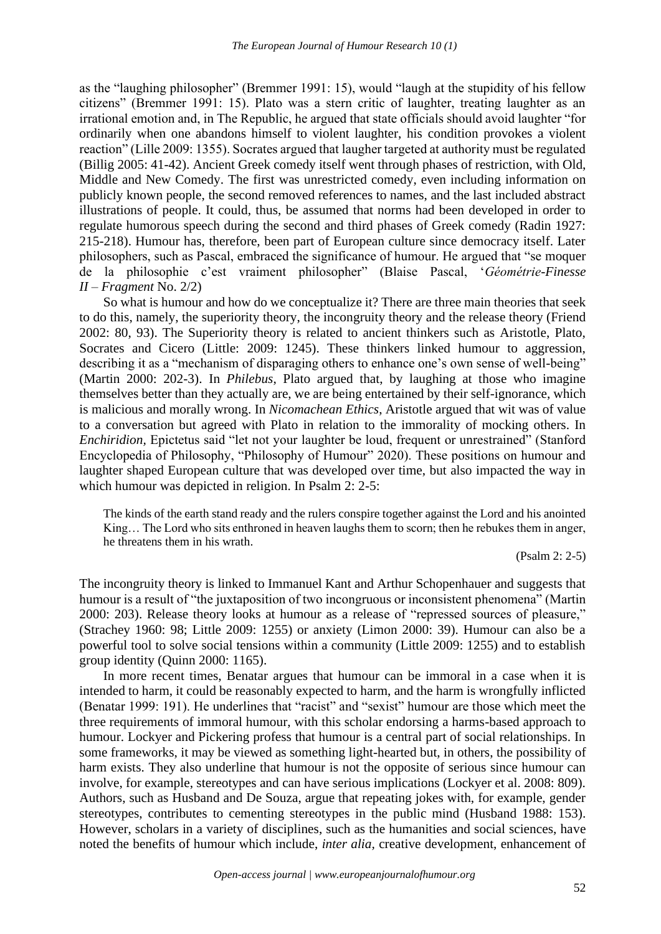as the "laughing philosopher" (Bremmer 1991: 15), would "laugh at the stupidity of his fellow citizens" (Bremmer 1991: 15). Plato was a stern critic of laughter, treating laughter as an irrational emotion and, in The Republic, he argued that state officials should avoid laughter "for ordinarily when one abandons himself to violent laughter, his condition provokes a violent reaction" (Lille 2009: 1355). Socrates argued that laugher targeted at authority must be regulated (Billig 2005: 41-42). Ancient Greek comedy itself went through phases of restriction, with Old, Middle and New Comedy. The first was unrestricted comedy, even including information on publicly known people, the second removed references to names, and the last included abstract illustrations of people. It could, thus, be assumed that norms had been developed in order to regulate humorous speech during the second and third phases of Greek comedy (Radin 1927: 215-218). Humour has, therefore, been part of European culture since democracy itself. Later philosophers, such as Pascal, embraced the significance of humour. He argued that "se moquer de la philosophie c'est vraiment philosopher" (Blaise Pascal, '*Géométrie*-*Finesse II* – *Fragment* No. 2/2)

So what is humour and how do we conceptualize it? There are three main theories that seek to do this, namely, the superiority theory, the incongruity theory and the release theory (Friend 2002: 80, 93). The Superiority theory is related to ancient thinkers such as Aristotle, Plato, Socrates and Cicero (Little: 2009: 1245). These thinkers linked humour to aggression, describing it as a "mechanism of disparaging others to enhance one's own sense of well-being" (Martin 2000: 202-3). In *Philebus*, Plato argued that, by laughing at those who imagine themselves better than they actually are, we are being entertained by their self-ignorance, which is malicious and morally wrong. In *Nicomachean Ethics*, Aristotle argued that wit was of value to a conversation but agreed with Plato in relation to the immorality of mocking others. In *Enchiridion,* Epictetus said "let not your laughter be loud, frequent or unrestrained" (Stanford Encyclopedia of Philosophy, "Philosophy of Humour" 2020). These positions on humour and laughter shaped European culture that was developed over time, but also impacted the way in which humour was depicted in religion. In Psalm 2: 2-5:

The kinds of the earth stand ready and the rulers conspire together against the Lord and his anointed King… The Lord who sits enthroned in heaven laughs them to scorn; then he rebukes them in anger, he threatens them in his wrath.

(Psalm 2: 2-5)

The incongruity theory is linked to Immanuel Kant and Arthur Schopenhauer and suggests that humour is a result of "the juxtaposition of two incongruous or inconsistent phenomena" (Martin 2000: 203). Release theory looks at humour as a release of "repressed sources of pleasure," (Strachey 1960: 98; Little 2009: 1255) or anxiety (Limon 2000: 39). Humour can also be a powerful tool to solve social tensions within a community (Little 2009: 1255) and to establish group identity (Quinn 2000: 1165).

In more recent times, Benatar argues that humour can be immoral in a case when it is intended to harm, it could be reasonably expected to harm, and the harm is wrongfully inflicted (Benatar 1999: 191). He underlines that "racist" and "sexist" humour are those which meet the three requirements of immoral humour, with this scholar endorsing a harms-based approach to humour. Lockyer and Pickering profess that humour is a central part of social relationships. In some frameworks, it may be viewed as something light-hearted but, in others, the possibility of harm exists. They also underline that humour is not the opposite of serious since humour can involve, for example, stereotypes and can have serious implications (Lockyer et al. 2008: 809). Authors, such as Husband and De Souza, argue that repeating jokes with, for example, gender stereotypes, contributes to cementing stereotypes in the public mind (Husband 1988: 153). However, scholars in a variety of disciplines, such as the humanities and social sciences, have noted the benefits of humour which include, *inter alia,* creative development, enhancement of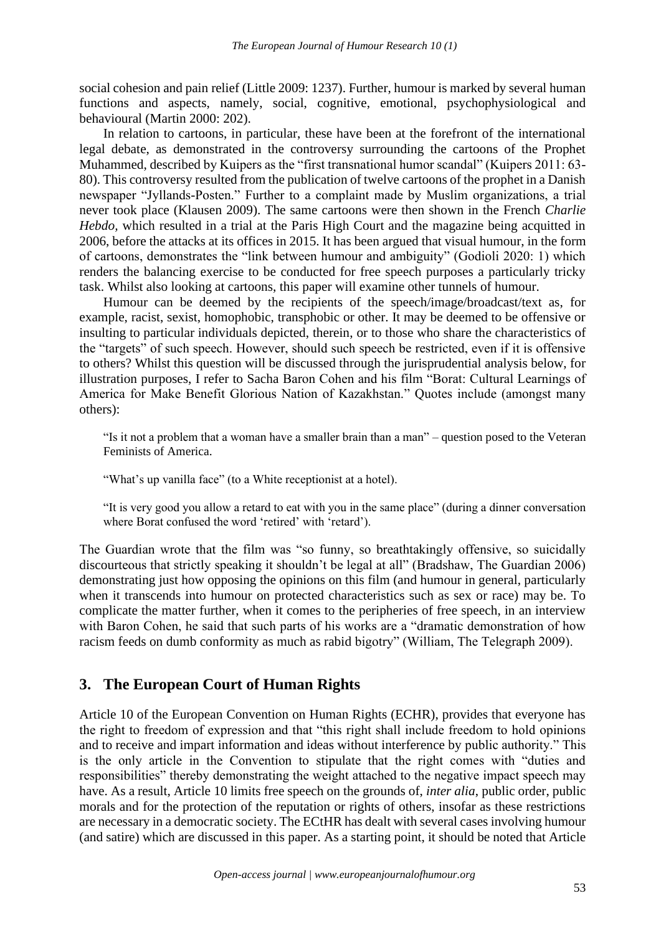social cohesion and pain relief (Little 2009: 1237). Further, humour is marked by several human functions and aspects, namely, social, cognitive, emotional, psychophysiological and behavioural (Martin 2000: 202).

In relation to cartoons, in particular, these have been at the forefront of the international legal debate, as demonstrated in the controversy surrounding the cartoons of the Prophet Muhammed, described by Kuipers as the "first transnational humor scandal" (Kuipers 2011: 63- 80). This controversy resulted from the publication of twelve cartoons of the prophet in a Danish newspaper "Jyllands-Posten." Further to a complaint made by Muslim organizations, a trial never took place (Klausen 2009). The same cartoons were then shown in the French *Charlie Hebdo*, which resulted in a trial at the Paris High Court and the magazine being acquitted in 2006, before the attacks at its offices in 2015. It has been argued that visual humour, in the form of cartoons, demonstrates the "link between humour and ambiguity" (Godioli 2020: 1) which renders the balancing exercise to be conducted for free speech purposes a particularly tricky task. Whilst also looking at cartoons, this paper will examine other tunnels of humour.

Humour can be deemed by the recipients of the speech/image/broadcast/text as, for example, racist, sexist, homophobic, transphobic or other. It may be deemed to be offensive or insulting to particular individuals depicted, therein, or to those who share the characteristics of the "targets" of such speech. However, should such speech be restricted, even if it is offensive to others? Whilst this question will be discussed through the jurisprudential analysis below, for illustration purposes, I refer to Sacha Baron Cohen and his film "Borat: Cultural Learnings of America for Make Benefit Glorious Nation of Kazakhstan." Quotes include (amongst many others):

"Is it not a problem that a woman have a smaller brain than a man" – question posed to the Veteran Feminists of America.

"What's up vanilla face" (to a White receptionist at a hotel).

"It is very good you allow a retard to eat with you in the same place" (during a dinner conversation where Borat confused the word 'retired' with 'retard').

The Guardian wrote that the film was "so funny, so breathtakingly offensive, so suicidally discourteous that strictly speaking it shouldn't be legal at all" (Bradshaw, The Guardian 2006) demonstrating just how opposing the opinions on this film (and humour in general, particularly when it transcends into humour on protected characteristics such as sex or race) may be. To complicate the matter further, when it comes to the peripheries of free speech, in an interview with Baron Cohen, he said that such parts of his works are a "dramatic demonstration of how racism feeds on dumb conformity as much as rabid bigotry" (William, The Telegraph 2009).

## **3. The European Court of Human Rights**

Article 10 of the European Convention on Human Rights (ECHR), provides that everyone has the right to freedom of expression and that "this right shall include freedom to hold opinions and to receive and impart information and ideas without interference by public authority." This is the only article in the Convention to stipulate that the right comes with "duties and responsibilities" thereby demonstrating the weight attached to the negative impact speech may have. As a result, Article 10 limits free speech on the grounds of, *inter alia*, public order, public morals and for the protection of the reputation or rights of others, insofar as these restrictions are necessary in a democratic society. The ECtHR has dealt with several cases involving humour (and satire) which are discussed in this paper. As a starting point, it should be noted that Article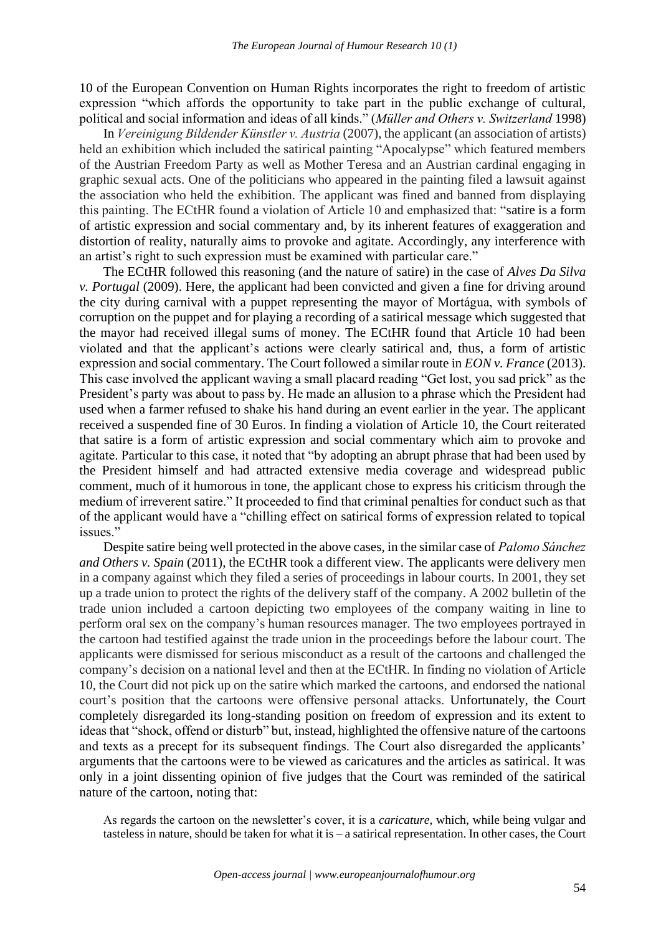10 of the European Convention on Human Rights incorporates the right to freedom of artistic expression "which affords the opportunity to take part in the public exchange of cultural, political and social information and ideas of all kinds." (*Müller and Others v. Switzerland* 1998)

In *Vereinigung Bildender Künstler v. Austria* (2007), the applicant (an association of artists) held an exhibition which included the satirical painting "Apocalypse" which featured members of the Austrian Freedom Party as well as Mother Teresa and an Austrian cardinal engaging in graphic sexual acts. One of the politicians who appeared in the painting filed a lawsuit against the association who held the exhibition. The applicant was fined and banned from displaying this painting. The ECtHR found a violation of Article 10 and emphasized that: "satire is a form of artistic expression and social commentary and, by its inherent features of exaggeration and distortion of reality, naturally aims to provoke and agitate. Accordingly, any interference with an artist's right to such expression must be examined with particular care."

The ECtHR followed this reasoning (and the nature of satire) in the case of *Alves Da Silva v. Portugal* (2009). Here, the applicant had been convicted and given a fine for driving around the city during carnival with a puppet representing the mayor of Mortágua, with symbols of corruption on the puppet and for playing a recording of a satirical message which suggested that the mayor had received illegal sums of money. The ECtHR found that Article 10 had been violated and that the applicant's actions were clearly satirical and, thus, a form of artistic expression and social commentary. The Court followed a similar route in *EON v. France* (2013). This case involved the applicant waving a small placard reading "Get lost, you sad prick" as the President's party was about to pass by. He made an allusion to a phrase which the President had used when a farmer refused to shake his hand during an event earlier in the year. The applicant received a suspended fine of 30 Euros. In finding a violation of Article 10, the Court reiterated that satire is a form of artistic expression and social commentary which aim to provoke and agitate. Particular to this case, it noted that "by adopting an abrupt phrase that had been used by the President himself and had attracted extensive media coverage and widespread public comment, much of it humorous in tone, the applicant chose to express his criticism through the medium of irreverent satire." It proceeded to find that criminal penalties for conduct such as that of the applicant would have a "chilling effect on satirical forms of expression related to topical issues."

Despite satire being well protected in the above cases, in the similar case of *Palomo Sánchez and Others v. Spain* (2011), the ECtHR took a different view. The applicants were delivery men in a company against which they filed a series of proceedings in labour courts. In 2001, they set up a trade union to protect the rights of the delivery staff of the company. A 2002 bulletin of the trade union included a cartoon depicting two employees of the company waiting in line to perform oral sex on the company's human resources manager. The two employees portrayed in the cartoon had testified against the trade union in the proceedings before the labour court. The applicants were dismissed for serious misconduct as a result of the cartoons and challenged the company's decision on a national level and then at the ECtHR. In finding no violation of Article 10, the Court did not pick up on the satire which marked the cartoons, and endorsed the national court's position that the cartoons were offensive personal attacks. Unfortunately, the Court completely disregarded its long-standing position on freedom of expression and its extent to ideas that "shock, offend or disturb" but, instead, highlighted the offensive nature of the cartoons and texts as a precept for its subsequent findings. The Court also disregarded the applicants' arguments that the cartoons were to be viewed as caricatures and the articles as satirical. It was only in a joint dissenting opinion of five judges that the Court was reminded of the satirical nature of the cartoon, noting that:

As regards the cartoon on the newsletter's cover, it is a *caricature*, which, while being vulgar and tasteless in nature, should be taken for what it is – a satirical representation. In other cases, the Court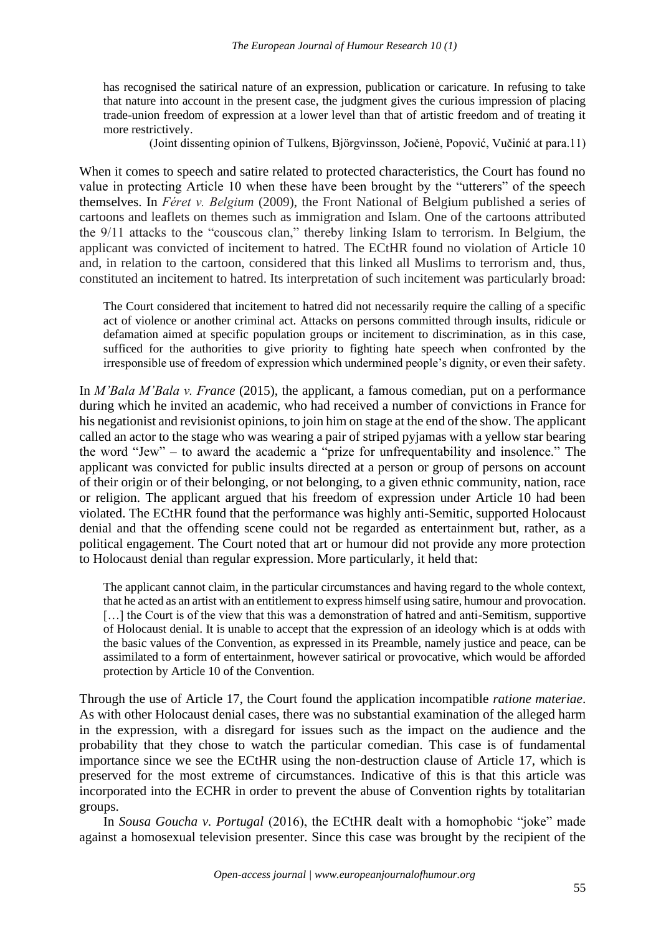has recognised the satirical nature of an expression, publication or caricature. In refusing to take that nature into account in the present case, the judgment gives the curious impression of placing trade-union freedom of expression at a lower level than that of artistic freedom and of treating it more restrictively.

(Joint dissenting opinion of Tulkens, Björgvinsson, Jočienė, Popović, Vučinić at para.11)

When it comes to speech and satire related to protected characteristics, the Court has found no value in protecting Article 10 when these have been brought by the "utterers" of the speech themselves. In *Féret v. Belgium* (2009), the Front National of Belgium published a series of cartoons and leaflets on themes such as immigration and Islam. One of the cartoons attributed the 9/11 attacks to the "couscous clan," thereby linking Islam to terrorism. In Belgium, the applicant was convicted of incitement to hatred. The ECtHR found no violation of Article 10 and, in relation to the cartoon, considered that this linked all Muslims to terrorism and, thus, constituted an incitement to hatred. Its interpretation of such incitement was particularly broad:

The Court considered that incitement to hatred did not necessarily require the calling of a specific act of violence or another criminal act. Attacks on persons committed through insults, ridicule or defamation aimed at specific population groups or incitement to discrimination, as in this case, sufficed for the authorities to give priority to fighting hate speech when confronted by the irresponsible use of freedom of expression which undermined people's dignity, or even their safety.

In *M'Bala M'Bala v. France* (2015), the applicant, a famous comedian, put on a performance during which he invited an academic, who had received a number of convictions in France for his negationist and revisionist opinions, to join him on stage at the end of the show. The applicant called an actor to the stage who was wearing a pair of striped pyjamas with a yellow star bearing the word "Jew" – to award the academic a "prize for unfrequentability and insolence." The applicant was convicted for public insults directed at a person or group of persons on account of their origin or of their belonging, or not belonging, to a given ethnic community, nation, race or religion. The applicant argued that his freedom of expression under Article 10 had been violated. The ECtHR found that the performance was highly anti-Semitic, supported Holocaust denial and that the offending scene could not be regarded as entertainment but, rather, as a political engagement. The Court noted that art or humour did not provide any more protection to Holocaust denial than regular expression. More particularly, it held that:

The applicant cannot claim, in the particular circumstances and having regard to the whole context, that he acted as an artist with an entitlement to express himself using satire, humour and provocation. [...] the Court is of the view that this was a demonstration of hatred and anti-Semitism, supportive of Holocaust denial. It is unable to accept that the expression of an ideology which is at odds with the basic values of the Convention, as expressed in its Preamble, namely justice and peace, can be assimilated to a form of entertainment, however satirical or provocative, which would be afforded protection by Article 10 of the Convention.

Through the use of Article 17, the Court found the application incompatible *ratione materiae*. As with other Holocaust denial cases, there was no substantial examination of the alleged harm in the expression, with a disregard for issues such as the impact on the audience and the probability that they chose to watch the particular comedian. This case is of fundamental importance since we see the ECtHR using the non-destruction clause of Article 17, which is preserved for the most extreme of circumstances. Indicative of this is that this article was incorporated into the ECHR in order to prevent the abuse of Convention rights by totalitarian groups.

In *Sousa Goucha v. Portugal* (2016), the ECtHR dealt with a homophobic "joke" made against a homosexual television presenter. Since this case was brought by the recipient of the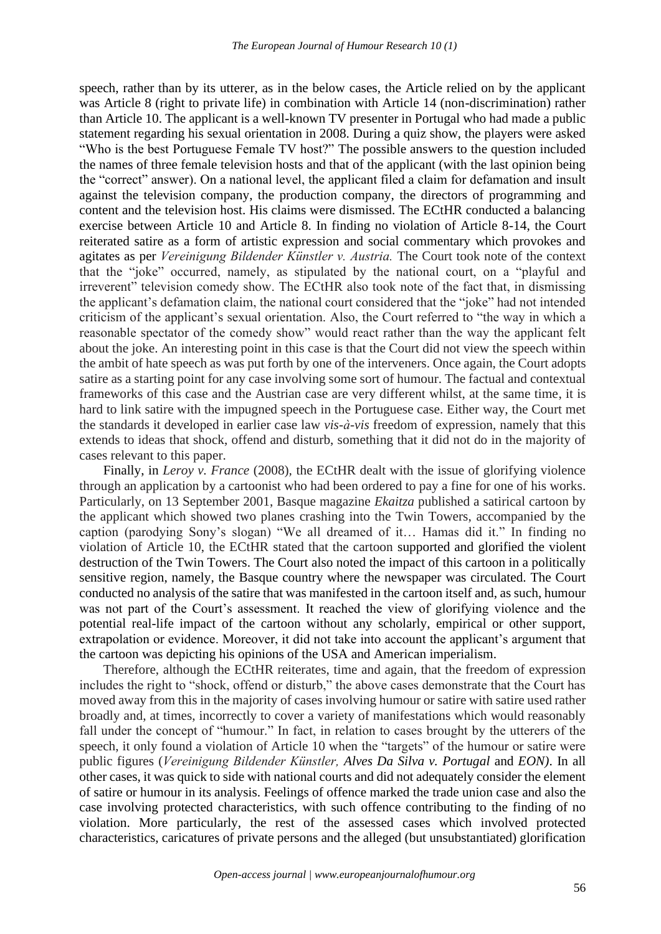speech, rather than by its utterer, as in the below cases, the Article relied on by the applicant was Article 8 (right to private life) in combination with Article 14 (non-discrimination) rather than Article 10. The applicant is a well-known TV presenter in Portugal who had made a public statement regarding his sexual orientation in 2008. During a quiz show, the players were asked "Who is the best Portuguese Female TV host?" The possible answers to the question included the names of three female television hosts and that of the applicant (with the last opinion being the "correct" answer). On a national level, the applicant filed a claim for defamation and insult against the television company, the production company, the directors of programming and content and the television host. His claims were dismissed. The ECtHR conducted a balancing exercise between Article 10 and Article 8. In finding no violation of Article 8-14, the Court reiterated satire as a form of artistic expression and social commentary which provokes and agitates as per *Vereinigung Bildender Künstler v. Austria.* The Court took note of the context that the "joke" occurred, namely, as stipulated by the national court, on a "playful and irreverent" television comedy show. The ECtHR also took note of the fact that, in dismissing the applicant's defamation claim, the national court considered that the "joke" had not intended criticism of the applicant's sexual orientation. Also, the Court referred to "the way in which a reasonable spectator of the comedy show" would react rather than the way the applicant felt about the joke. An interesting point in this case is that the Court did not view the speech within the ambit of hate speech as was put forth by one of the interveners. Once again, the Court adopts satire as a starting point for any case involving some sort of humour. The factual and contextual frameworks of this case and the Austrian case are very different whilst, at the same time, it is hard to link satire with the impugned speech in the Portuguese case. Either way, the Court met the standards it developed in earlier case law *vis-à-vis* freedom of expression, namely that this extends to ideas that shock, offend and disturb, something that it did not do in the majority of cases relevant to this paper.

Finally, in *Leroy v. France* (2008)*,* the ECtHR dealt with the issue of glorifying violence through an application by a cartoonist who had been ordered to pay a fine for one of his works. Particularly, on 13 September 2001, Basque magazine *Ekaitza* published a satirical cartoon by the applicant which showed two planes crashing into the Twin Towers, accompanied by the caption (parodying Sony's slogan) "We all dreamed of it… Hamas did it." In finding no violation of Article 10, the ECtHR stated that the cartoon supported and glorified the violent destruction of the Twin Towers. The Court also noted the impact of this cartoon in a politically sensitive region, namely, the Basque country where the newspaper was circulated. The Court conducted no analysis of the satire that was manifested in the cartoon itself and, as such, humour was not part of the Court's assessment. It reached the view of glorifying violence and the potential real-life impact of the cartoon without any scholarly, empirical or other support, extrapolation or evidence. Moreover, it did not take into account the applicant's argument that the cartoon was depicting his opinions of the USA and American imperialism.

Therefore, although the ECtHR reiterates, time and again, that the freedom of expression includes the right to "shock, offend or disturb," the above cases demonstrate that the Court has moved away from this in the majority of cases involving humour or satire with satire used rather broadly and, at times, incorrectly to cover a variety of manifestations which would reasonably fall under the concept of "humour." In fact, in relation to cases brought by the utterers of the speech, it only found a violation of Article 10 when the "targets" of the humour or satire were public figures (*Vereinigung Bildender Künstler, Alves Da Silva v. Portugal* and *EON)*. In all other cases, it was quick to side with national courts and did not adequately consider the element of satire or humour in its analysis. Feelings of offence marked the trade union case and also the case involving protected characteristics, with such offence contributing to the finding of no violation. More particularly, the rest of the assessed cases which involved protected characteristics, caricatures of private persons and the alleged (but unsubstantiated) glorification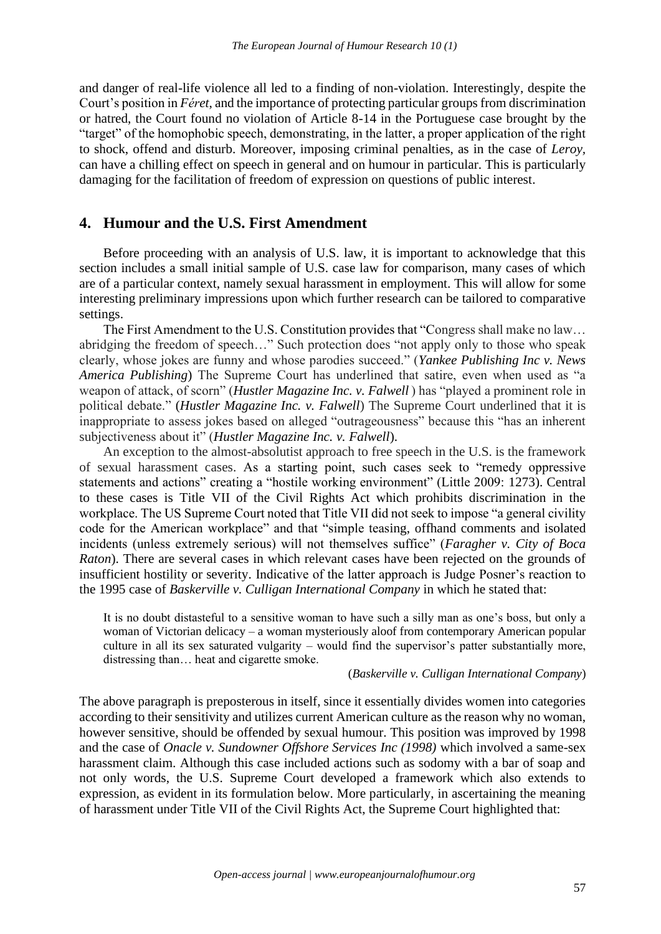and danger of real-life violence all led to a finding of non-violation. Interestingly, despite the Court's position in *Féret*, and the importance of protecting particular groups from discrimination or hatred, the Court found no violation of Article 8-14 in the Portuguese case brought by the "target" of the homophobic speech, demonstrating, in the latter, a proper application of the right to shock, offend and disturb. Moreover, imposing criminal penalties, as in the case of *Leroy,*  can have a chilling effect on speech in general and on humour in particular. This is particularly damaging for the facilitation of freedom of expression on questions of public interest.

## **4. Humour and the U.S. First Amendment**

Before proceeding with an analysis of U.S. law, it is important to acknowledge that this section includes a small initial sample of U.S. case law for comparison, many cases of which are of a particular context, namely sexual harassment in employment. This will allow for some interesting preliminary impressions upon which further research can be tailored to comparative settings.

The First Amendment to the U.S. Constitution provides that "Congress shall make no law… abridging the freedom of speech…" Such protection does "not apply only to those who speak clearly, whose jokes are funny and whose parodies succeed." (*Yankee Publishing Inc v. News America Publishing*) The Supreme Court has underlined that satire, even when used as "a weapon of attack, of scorn" (*Hustler Magazine Inc. v. Falwell* ) has "played a prominent role in political debate." (*Hustler Magazine Inc. v. Falwell*) The Supreme Court underlined that it is inappropriate to assess jokes based on alleged "outrageousness" because this "has an inherent subjectiveness about it" (*Hustler Magazine Inc. v. Falwell*).

An exception to the almost-absolutist approach to free speech in the U.S. is the framework of sexual harassment cases. As a starting point, such cases seek to "remedy oppressive statements and actions" creating a "hostile working environment" (Little 2009: 1273). Central to these cases is Title VII of the Civil Rights Act which prohibits discrimination in the workplace. The US Supreme Court noted that Title VII did not seek to impose "a general civility code for the American workplace" and that "simple teasing, offhand comments and isolated incidents (unless extremely serious) will not themselves suffice" (*Faragher v. City of Boca Raton*). There are several cases in which relevant cases have been rejected on the grounds of insufficient hostility or severity. Indicative of the latter approach is Judge Posner's reaction to the 1995 case of *Baskerville v. Culligan International Company* in which he stated that:

It is no doubt distasteful to a sensitive woman to have such a silly man as one's boss, but only a woman of Victorian delicacy – a woman mysteriously aloof from contemporary American popular culture in all its sex saturated vulgarity – would find the supervisor's patter substantially more, distressing than… heat and cigarette smoke.

#### (*Baskerville v. Culligan International Company*)

The above paragraph is preposterous in itself, since it essentially divides women into categories according to their sensitivity and utilizes current American culture as the reason why no woman, however sensitive, should be offended by sexual humour. This position was improved by 1998 and the case of *Onacle v. Sundowner Offshore Services Inc (1998)* which involved a same-sex harassment claim. Although this case included actions such as sodomy with a bar of soap and not only words, the U.S. Supreme Court developed a framework which also extends to expression, as evident in its formulation below. More particularly, in ascertaining the meaning of harassment under Title VII of the Civil Rights Act, the Supreme Court highlighted that: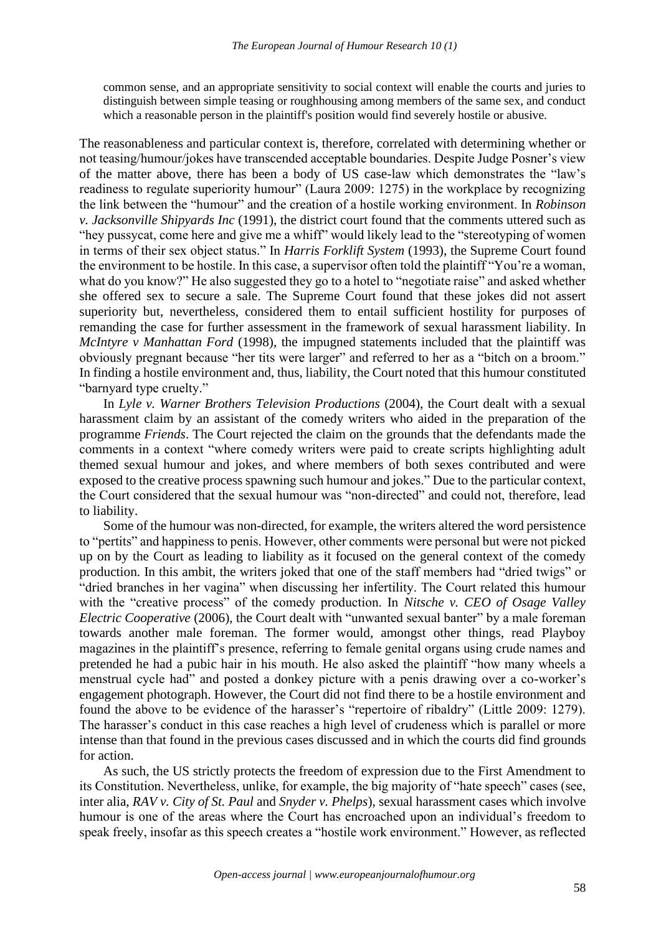common sense, and an appropriate sensitivity to social context will enable the courts and juries to distinguish between simple teasing or roughhousing among members of the same sex, and conduct which a reasonable person in the plaintiff's position would find severely hostile or abusive.

The reasonableness and particular context is, therefore, correlated with determining whether or not teasing/humour/jokes have transcended acceptable boundaries. Despite Judge Posner's view of the matter above, there has been a body of US case-law which demonstrates the "law's readiness to regulate superiority humour" (Laura 2009: 1275) in the workplace by recognizing the link between the "humour" and the creation of a hostile working environment. In *Robinson v. Jacksonville Shipyards Inc* (1991), the district court found that the comments uttered such as "hey pussycat, come here and give me a whiff" would likely lead to the "stereotyping of women in terms of their sex object status." In *Harris Forklift System* (1993), the Supreme Court found the environment to be hostile. In this case, a supervisor often told the plaintiff "You're a woman, what do you know?" He also suggested they go to a hotel to "negotiate raise" and asked whether she offered sex to secure a sale. The Supreme Court found that these jokes did not assert superiority but, nevertheless, considered them to entail sufficient hostility for purposes of remanding the case for further assessment in the framework of sexual harassment liability. In *McIntyre v Manhattan Ford* (1998), the impugned statements included that the plaintiff was obviously pregnant because "her tits were larger" and referred to her as a "bitch on a broom." In finding a hostile environment and, thus, liability, the Court noted that this humour constituted "barnyard type cruelty."

In *Lyle v. Warner Brothers Television Productions* (2004), the Court dealt with a sexual harassment claim by an assistant of the comedy writers who aided in the preparation of the programme *Friends*. The Court rejected the claim on the grounds that the defendants made the comments in a context "where comedy writers were paid to create scripts highlighting adult themed sexual humour and jokes, and where members of both sexes contributed and were exposed to the creative process spawning such humour and jokes." Due to the particular context, the Court considered that the sexual humour was "non-directed" and could not, therefore, lead to liability.

Some of the humour was non-directed, for example, the writers altered the word persistence to "pertits" and happiness to penis. However, other comments were personal but were not picked up on by the Court as leading to liability as it focused on the general context of the comedy production. In this ambit, the writers joked that one of the staff members had "dried twigs" or "dried branches in her vagina" when discussing her infertility. The Court related this humour with the "creative process" of the comedy production. In *Nitsche v. CEO of Osage Valley Electric Cooperative* (2006), the Court dealt with "unwanted sexual banter" by a male foreman towards another male foreman. The former would, amongst other things, read Playboy magazines in the plaintiff's presence, referring to female genital organs using crude names and pretended he had a pubic hair in his mouth. He also asked the plaintiff "how many wheels a menstrual cycle had" and posted a donkey picture with a penis drawing over a co-worker's engagement photograph. However, the Court did not find there to be a hostile environment and found the above to be evidence of the harasser's "repertoire of ribaldry" (Little 2009: 1279). The harasser's conduct in this case reaches a high level of crudeness which is parallel or more intense than that found in the previous cases discussed and in which the courts did find grounds for action.

As such, the US strictly protects the freedom of expression due to the First Amendment to its Constitution. Nevertheless, unlike, for example, the big majority of "hate speech" cases (see, inter alia, *RAV v. City of St. Paul* and *Snyder v. Phelps*), sexual harassment cases which involve humour is one of the areas where the Court has encroached upon an individual's freedom to speak freely, insofar as this speech creates a "hostile work environment." However, as reflected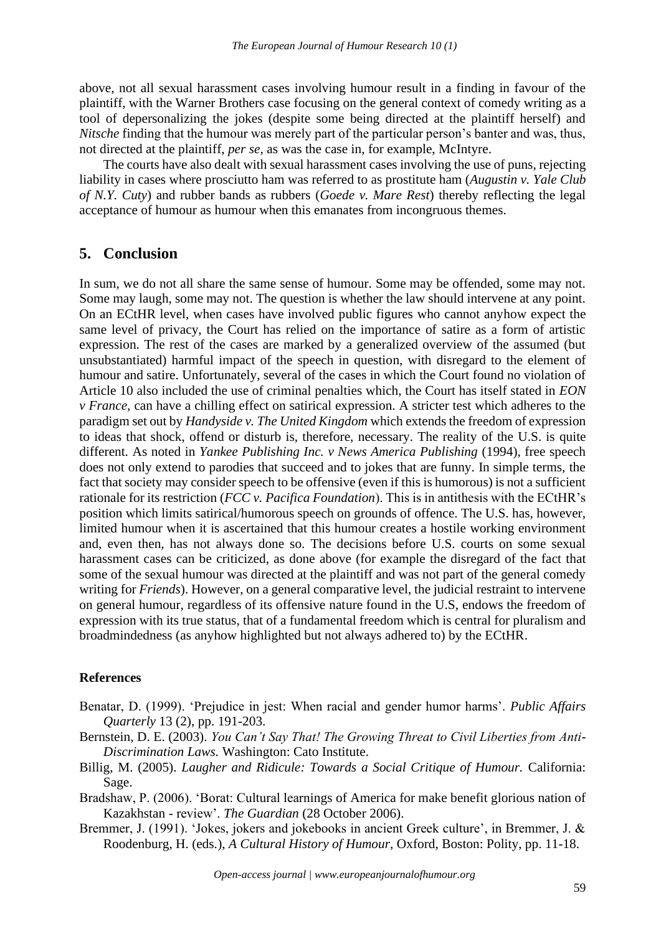above, not all sexual harassment cases involving humour result in a finding in favour of the plaintiff, with the Warner Brothers case focusing on the general context of comedy writing as a tool of depersonalizing the jokes (despite some being directed at the plaintiff herself) and *Nitsche* finding that the humour was merely part of the particular person's banter and was, thus, not directed at the plaintiff, *per se,* as was the case in, for example, McIntyre.

The courts have also dealt with sexual harassment cases involving the use of puns, rejecting liability in cases where prosciutto ham was referred to as prostitute ham (*Augustin v. Yale Club of N.Y. Cuty*) and rubber bands as rubbers (*Goede v. Mare Rest*) thereby reflecting the legal acceptance of humour as humour when this emanates from incongruous themes.

# **5. Conclusion**

In sum, we do not all share the same sense of humour. Some may be offended, some may not. Some may laugh, some may not. The question is whether the law should intervene at any point. On an ECtHR level, when cases have involved public figures who cannot anyhow expect the same level of privacy, the Court has relied on the importance of satire as a form of artistic expression. The rest of the cases are marked by a generalized overview of the assumed (but unsubstantiated) harmful impact of the speech in question, with disregard to the element of humour and satire. Unfortunately, several of the cases in which the Court found no violation of Article 10 also included the use of criminal penalties which, the Court has itself stated in *EON v France,* can have a chilling effect on satirical expression. A stricter test which adheres to the paradigm set out by *Handyside v. The United Kingdom* which extends the freedom of expression to ideas that shock, offend or disturb is, therefore, necessary. The reality of the U.S. is quite different. As noted in *Yankee Publishing Inc. v News America Publishing* (1994), free speech does not only extend to parodies that succeed and to jokes that are funny. In simple terms, the fact that society may consider speech to be offensive (even if this is humorous) is not a sufficient rationale for its restriction (*FCC v. Pacifica Foundation*). This is in antithesis with the ECtHR's position which limits satirical/humorous speech on grounds of offence. The U.S. has, however, limited humour when it is ascertained that this humour creates a hostile working environment and, even then, has not always done so. The decisions before U.S. courts on some sexual harassment cases can be criticized, as done above (for example the disregard of the fact that some of the sexual humour was directed at the plaintiff and was not part of the general comedy writing for *Friends*). However, on a general comparative level, the judicial restraint to intervene on general humour, regardless of its offensive nature found in the U.S, endows the freedom of expression with its true status, that of a fundamental freedom which is central for pluralism and broadmindedness (as anyhow highlighted but not always adhered to) by the ECtHR.

#### **References**

- Benatar, D. (1999). 'Prejudice in jest: When racial and gender humor harms'. *Public Affairs Quarterly* 13 (2), pp. 191-203.
- Bernstein, D. E. (2003). *You Can't Say That! The Growing Threat to Civil Liberties from Anti-Discrimination Laws.* Washington: Cato Institute.
- Billig, M. (2005). *Laugher and Ridicule: Towards a Social Critique of Humour.* California: Sage.
- Bradshaw, P. (2006). 'Borat: Cultural learnings of America for make benefit glorious nation of Kazakhstan - review'. *The Guardian* (28 October 2006).
- Bremmer, J. (1991). 'Jokes, jokers and jokebooks in ancient Greek culture', in Bremmer, J. & Roodenburg, H. (eds.), *A Cultural History of Humour,* Oxford, Boston: Polity, pp. 11-18.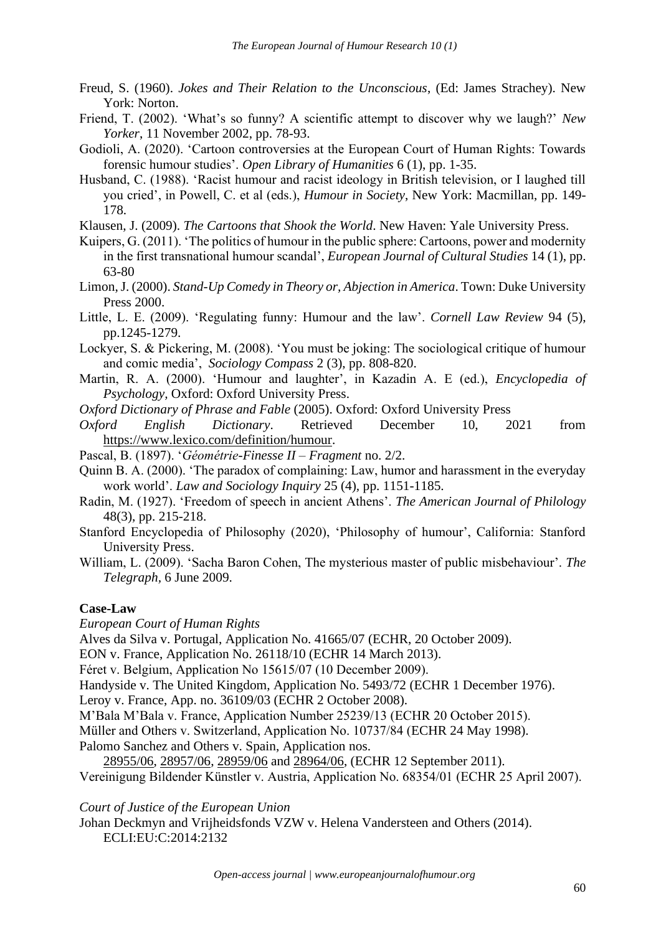- Freud, S. (1960). *Jokes and Their Relation to the Unconscious*, (Ed: James Strachey). New York: Norton.
- Friend, T. (2002). 'What's so funny? A scientific attempt to discover why we laugh?' *New Yorker*, 11 November 2002, pp. 78-93.
- Godioli, A. (2020). 'Cartoon controversies at the European Court of Human Rights: Towards forensic humour studies'. *Open Library of Humanities* 6 (1), pp. 1-35.
- Husband, C. (1988). 'Racist humour and racist ideology in British television, or I laughed till you cried', in Powell, C. et al (eds.), *Humour in Society*, New York: Macmillan, pp. 149- 178.
- Klausen, J. (2009). *The Cartoons that Shook the World*. New Haven: Yale University Press.
- Kuipers, G. (2011). 'The politics of humour in the public sphere: Cartoons, power and modernity in the first transnational humour scandal', *European Journal of Cultural Studies* 14 (1), pp. 63-80
- Limon, J. (2000). *Stand-Up Comedy in Theory or, Abjection in America*. Town: Duke University Press 2000.
- Little, L. E. (2009). 'Regulating funny: Humour and the law'. *Cornell Law Review* 94 (5), pp.1245-1279.
- Lockyer, S. & Pickering, M. (2008). 'You must be joking: The sociological critique of humour and comic media', *Sociology Compass* 2 (3), pp. 808-820.
- Martin, R. A. (2000). 'Humour and laughter', in Kazadin A. E (ed.), *Encyclopedia of Psychology,* Oxford: Oxford University Press.
- *Oxford Dictionary of Phrase and Fable* (2005). Oxford: Oxford University Press
- *Oxford English Dictionary*. Retrieved December 10, 2021 from [https://www.lexico.com/definition/humour.](https://www.lexico.com/definition/humour)
- Pascal, B. (1897). '*Géométrie*-*Finesse II Fragment* no. 2/2.
- Quinn B. A. (2000). 'The paradox of complaining: Law, humor and harassment in the everyday work world'. *Law and Sociology Inquiry* 25 (4)*,* pp. 1151-1185.
- Radin, M. (1927). 'Freedom of speech in ancient Athens'. *The American Journal of Philology*  48(3), pp. 215-218.
- Stanford Encyclopedia of Philosophy (2020), 'Philosophy of humour', California: Stanford University Press.
- William, L. (2009). 'Sacha Baron Cohen, The mysterious master of public misbehaviour'. *The Telegraph,* 6 June 2009.

### **Case-Law**

*European Court of Human Rights*

Alves da Silva v. Portugal, Application No. 41665/07 (ECHR, 20 October 2009).

- EON v. France, Application No. 26118/10 (ECHR 14 March 2013).
- Féret v. Belgium, Application No 15615/07 (10 December 2009).

Handyside v. The United Kingdom, Application No. 5493/72 (ECHR 1 December 1976).

Leroy v. France, App. no. 36109/03 (ECHR 2 October 2008).

M'Bala M'Bala v. France, Application Number 25239/13 (ECHR 20 October 2015).

Müller and Others v. Switzerland, Application No. 10737/84 (ECHR 24 May 1998).

Palomo Sanchez and Others v. Spain, Application nos.

[28955/06,](about:blank) [28957/06,](about:blank) [28959/06](about:blank) and [28964/06,](about:blank) (ECHR 12 September 2011). Vereinigung Bildender Künstler v. Austria, Application No. 68354/01 (ECHR 25 April 2007).

## *Court of Justice of the European Union*

Johan Deckmyn and Vrijheidsfonds VZW v. Helena Vandersteen and Others (2014). ECLI:EU:C:2014:2132